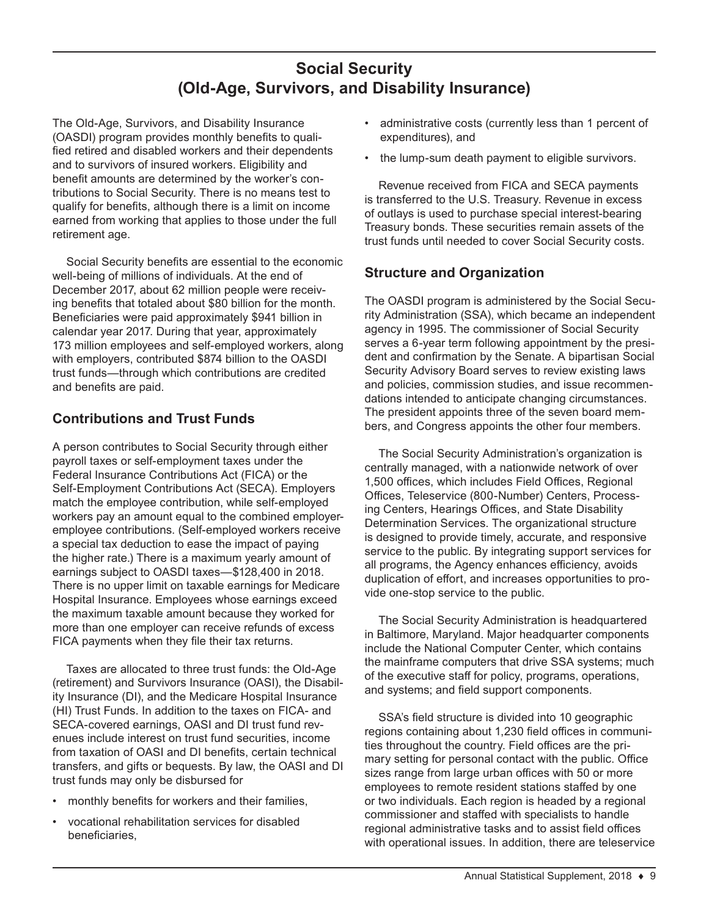# **Social Security (Old-Age, Survivors, and Disability Insurance)**

The Old-Age, Survivors, and Disability Insurance (OASDI) program provides monthly benefits to qualified retired and disabled workers and their dependents and to survivors of insured workers. Eligibility and benefit amounts are determined by the worker's contributions to Social Security. There is no means test to qualify for benefits, although there is a limit on income earned from working that applies to those under the full retirement age.

Social Security benefits are essential to the economic well-being of millions of individuals. At the end of December 2017, about 62 million people were receiving benefits that totaled about \$80 billion for the month. Beneficiaries were paid approximately \$941 billion in calendar year 2017. During that year, approximately 173 million employees and self-employed workers, along with employers, contributed \$874 billion to the OASDI trust funds—through which contributions are credited and benefits are paid.

## **Contributions and Trust Funds**

A person contributes to Social Security through either payroll taxes or self-employment taxes under the Federal Insurance Contributions Act (FICA) or the Self-Employment Contributions Act (SECA). Employers match the employee contribution, while self-employed workers pay an amount equal to the combined employeremployee contributions. (Self-employed workers receive a special tax deduction to ease the impact of paying the higher rate.) There is a maximum yearly amount of earnings subject to OASDI taxes—\$128,400 in 2018. There is no upper limit on taxable earnings for Medicare Hospital Insurance. Employees whose earnings exceed the maximum taxable amount because they worked for more than one employer can receive refunds of excess FICA payments when they file their tax returns.

Taxes are allocated to three trust funds: the Old-Age (retirement) and Survivors Insurance (OASI), the Disability Insurance (DI), and the Medicare Hospital Insurance (HI) Trust Funds. In addition to the taxes on FICA- and SECA-covered earnings, OASI and DI trust fund revenues include interest on trust fund securities, income from taxation of OASI and DI benefits, certain technical transfers, and gifts or bequests. By law, the OASI and DI trust funds may only be disbursed for

- monthly benefits for workers and their families,
- vocational rehabilitation services for disabled beneficiaries,
- administrative costs (currently less than 1 percent of expenditures), and
- the lump-sum death payment to eligible survivors.

Revenue received from FICA and SECA payments is transferred to the U.S. Treasury. Revenue in excess of outlays is used to purchase special interest-bearing Treasury bonds. These securities remain assets of the trust funds until needed to cover Social Security costs.

### **Structure and Organization**

The OASDI program is administered by the Social Security Administration (SSA), which became an independent agency in 1995. The commissioner of Social Security serves a 6-year term following appointment by the president and confirmation by the Senate. A bipartisan Social Security Advisory Board serves to review existing laws and policies, commission studies, and issue recommendations intended to anticipate changing circumstances. The president appoints three of the seven board members, and Congress appoints the other four members.

The Social Security Administration's organization is centrally managed, with a nationwide network of over 1,500 offices, which includes Field Offices, Regional Offices, Teleservice (800-Number) Centers, Processing Centers, Hearings Offices, and State Disability Determination Services. The organizational structure is designed to provide timely, accurate, and responsive service to the public. By integrating support services for all programs, the Agency enhances efficiency, avoids duplication of effort, and increases opportunities to provide one-stop service to the public.

The Social Security Administration is headquartered in Baltimore, Maryland. Major headquarter components include the National Computer Center, which contains the mainframe computers that drive SSA systems; much of the executive staff for policy, programs, operations, and systems; and field support components.

SSA's field structure is divided into 10 geographic regions containing about 1,230 field offices in communities throughout the country. Field offices are the primary setting for personal contact with the public. Office sizes range from large urban offices with 50 or more employees to remote resident stations staffed by one or two individuals. Each region is headed by a regional commissioner and staffed with specialists to handle regional administrative tasks and to assist field offices with operational issues. In addition, there are teleservice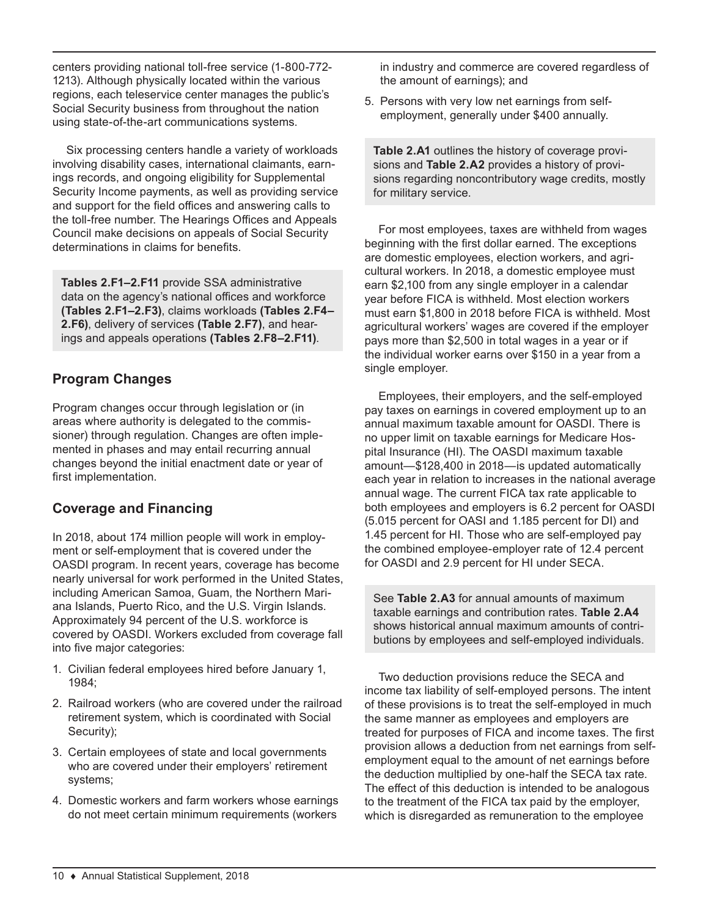centers providing national toll-free service (1-800-772- 1213). Although physically located within the various regions, each teleservice center manages the public's Social Security business from throughout the nation using state-of-the-art communications systems.

Six processing centers handle a variety of workloads involving disability cases, international claimants, earnings records, and ongoing eligibility for Supplemental Security Income payments, as well as providing service and support for the field offices and answering calls to the toll-free number. The Hearings Offices and Appeals Council make decisions on appeals of Social Security determinations in claims for benefits.

**Tables 2.F1–2.F11** provide SSA administrative data on the agency's national offices and workforce **(Tables 2.F1–2.F3)**, claims workloads **(Tables 2.F4– 2.F6)**, delivery of services **(Table 2.F7)**, and hearings and appeals operations **(Tables 2.F8–2.F11)**.

## **Program Changes**

Program changes occur through legislation or (in areas where authority is delegated to the commissioner) through regulation. Changes are often implemented in phases and may entail recurring annual changes beyond the initial enactment date or year of first implementation.

## **Coverage and Financing**

In 2018, about 174 million people will work in employment or self-employment that is covered under the OASDI program. In recent years, coverage has become nearly universal for work performed in the United States, including American Samoa, Guam, the Northern Mariana Islands, Puerto Rico, and the U.S. Virgin Islands. Approximately 94 percent of the U.S. workforce is covered by OASDI. Workers excluded from coverage fall into five major categories:

- 1. Civilian federal employees hired before January 1, 1984;
- 2. Railroad workers (who are covered under the railroad retirement system, which is coordinated with Social Security);
- 3. Certain employees of state and local governments who are covered under their employers' retirement systems;
- 4. Domestic workers and farm workers whose earnings do not meet certain minimum requirements (workers

in industry and commerce are covered regardless of the amount of earnings); and

5. Persons with very low net earnings from selfemployment, generally under \$400 annually.

**Table 2.A1** outlines the history of coverage provisions and **Table 2.A2** provides a history of provisions regarding noncontributory wage credits, mostly for military service.

For most employees, taxes are withheld from wages beginning with the first dollar earned. The exceptions are domestic employees, election workers, and agricultural workers. In 2018, a domestic employee must earn \$2,100 from any single employer in a calendar year before FICA is withheld. Most election workers must earn \$1,800 in 2018 before FICA is withheld. Most agricultural workers' wages are covered if the employer pays more than \$2,500 in total wages in a year or if the individual worker earns over \$150 in a year from a single employer.

Employees, their employers, and the self-employed pay taxes on earnings in covered employment up to an annual maximum taxable amount for OASDI. There is no upper limit on taxable earnings for Medicare Hospital Insurance (HI). The OASDI maximum taxable amount—\$128,400 in 2018—is updated automatically each year in relation to increases in the national average annual wage. The current FICA tax rate applicable to both employees and employers is 6.2 percent for OASDI (5.015 percent for OASI and 1.185 percent for DI) and 1.45 percent for HI. Those who are self-employed pay the combined employee-employer rate of 12.4 percent for OASDI and 2.9 percent for HI under SECA.

See **Table 2.A3** for annual amounts of maximum taxable earnings and contribution rates. **Table 2.A4** shows historical annual maximum amounts of contributions by employees and self-employed individuals.

Two deduction provisions reduce the SECA and income tax liability of self-employed persons. The intent of these provisions is to treat the self-employed in much the same manner as employees and employers are treated for purposes of FICA and income taxes. The first provision allows a deduction from net earnings from selfemployment equal to the amount of net earnings before the deduction multiplied by one-half the SECA tax rate. The effect of this deduction is intended to be analogous to the treatment of the FICA tax paid by the employer, which is disregarded as remuneration to the employee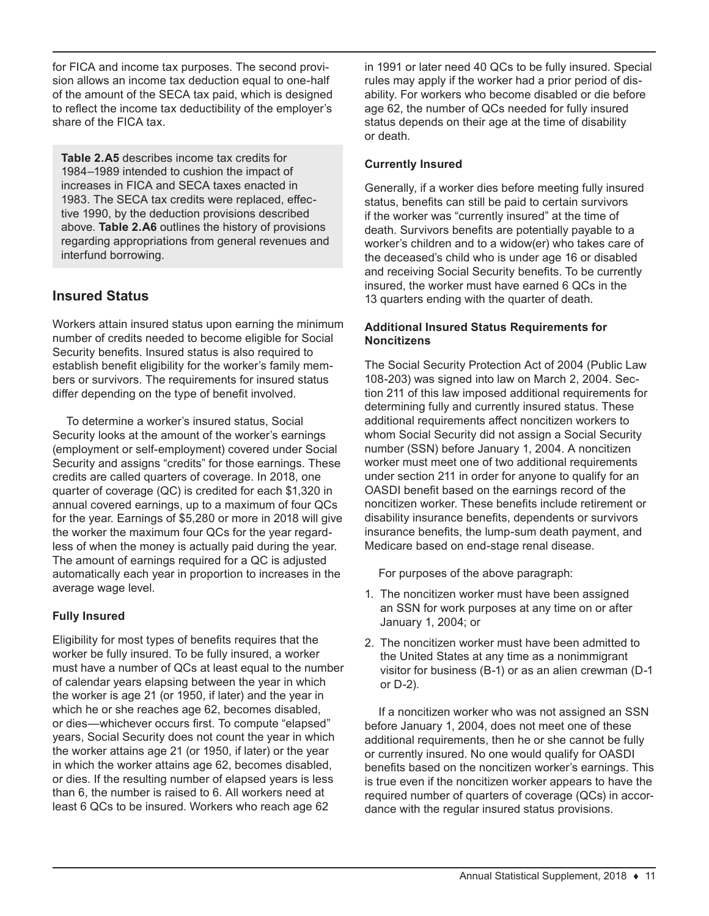for FICA and income tax purposes. The second provision allows an income tax deduction equal to one-half of the amount of the SECA tax paid, which is designed to reflect the income tax deductibility of the employer's share of the FICA tax.

**Table 2.A5** describes income tax credits for 1984–1989 intended to cushion the impact of increases in FICA and SECA taxes enacted in 1983. The SECA tax credits were replaced, effective 1990, by the deduction provisions described above. **Table 2.A6** outlines the history of provisions regarding appropriations from general revenues and interfund borrowing.

## **Insured Status**

Workers attain insured status upon earning the minimum number of credits needed to become eligible for Social Security benefits. Insured status is also required to establish benefit eligibility for the worker's family members or survivors. The requirements for insured status differ depending on the type of benefit involved.

To determine a worker's insured status, Social Security looks at the amount of the worker's earnings (employment or self-employment) covered under Social Security and assigns "credits" for those earnings. These credits are called quarters of coverage. In 2018, one quarter of coverage (QC) is credited for each \$1,320 in annual covered earnings, up to a maximum of four QCs for the year. Earnings of \$5,280 or more in 2018 will give the worker the maximum four QCs for the year regardless of when the money is actually paid during the year. The amount of earnings required for a QC is adjusted automatically each year in proportion to increases in the average wage level.

### **Fully Insured**

Eligibility for most types of benefits requires that the worker be fully insured. To be fully insured, a worker must have a number of QCs at least equal to the number of calendar years elapsing between the year in which the worker is age 21 (or 1950, if later) and the year in which he or she reaches age 62, becomes disabled, or dies—whichever occurs first. To compute "elapsed" years, Social Security does not count the year in which the worker attains age 21 (or 1950, if later) or the year in which the worker attains age 62, becomes disabled, or dies. If the resulting number of elapsed years is less than 6, the number is raised to 6. All workers need at least 6 QCs to be insured. Workers who reach age 62

in 1991 or later need 40 QCs to be fully insured. Special rules may apply if the worker had a prior period of disability. For workers who become disabled or die before age 62, the number of QCs needed for fully insured status depends on their age at the time of disability or death.

### **Currently Insured**

Generally, if a worker dies before meeting fully insured status, benefits can still be paid to certain survivors if the worker was "currently insured" at the time of death. Survivors benefits are potentially payable to a worker's children and to a widow(er) who takes care of the deceased's child who is under age 16 or disabled and receiving Social Security benefits. To be currently insured, the worker must have earned 6 QCs in the 13 quarters ending with the quarter of death.

#### **Additional Insured Status Requirements for Noncitizens**

The Social Security Protection Act of 2004 (Public Law 108-203) was signed into law on March 2, 2004. Section 211 of this law imposed additional requirements for determining fully and currently insured status. These additional requirements affect noncitizen workers to whom Social Security did not assign a Social Security number (SSN) before January 1, 2004. A noncitizen worker must meet one of two additional requirements under section 211 in order for anyone to qualify for an OASDI benefit based on the earnings record of the noncitizen worker. These benefits include retirement or disability insurance benefits, dependents or survivors insurance benefits, the lump-sum death payment, and Medicare based on end-stage renal disease.

For purposes of the above paragraph:

- 1. The noncitizen worker must have been assigned an SSN for work purposes at any time on or after January 1, 2004; or
- 2. The noncitizen worker must have been admitted to the United States at any time as a nonimmigrant visitor for business (B-1) or as an alien crewman (D-1 or D-2).

If a noncitizen worker who was not assigned an SSN before January 1, 2004, does not meet one of these additional requirements, then he or she cannot be fully or currently insured. No one would qualify for OASDI benefits based on the noncitizen worker's earnings. This is true even if the noncitizen worker appears to have the required number of quarters of coverage (QCs) in accordance with the regular insured status provisions.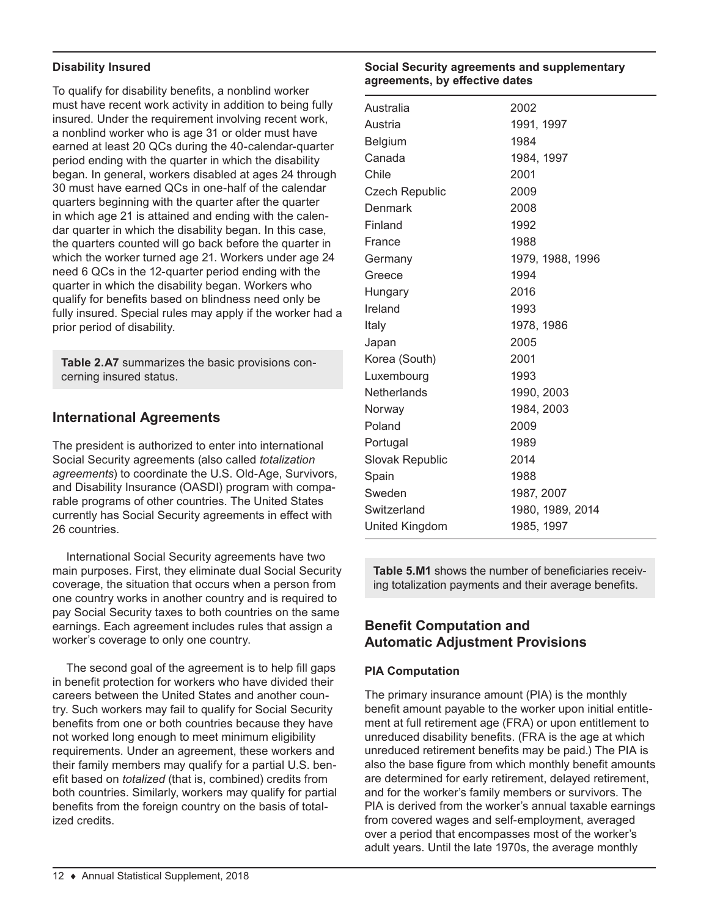#### **Disability Insured**

To qualify for disability benefits, a nonblind worker must have recent work activity in addition to being fully insured. Under the requirement involving recent work, a nonblind worker who is age 31 or older must have earned at least 20 QCs during the 40-calendar-quarter period ending with the quarter in which the disability began. In general, workers disabled at ages 24 through 30 must have earned QCs in one-half of the calendar quarters beginning with the quarter after the quarter in which age 21 is attained and ending with the calendar quarter in which the disability began. In this case, the quarters counted will go back before the quarter in which the worker turned age 21. Workers under age 24 need 6 QCs in the 12-quarter period ending with the quarter in which the disability began. Workers who qualify for benefits based on blindness need only be fully insured. Special rules may apply if the worker had a prior period of disability.

**Table 2.A7** summarizes the basic provisions concerning insured status.

### **International Agreements**

The president is authorized to enter into international Social Security agreements (also called *totalization agreements*) to coordinate the U.S. Old-Age, Survivors, and Disability Insurance (OASDI) program with comparable programs of other countries. The United States currently has Social Security agreements in effect with 26 countries.

International Social Security agreements have two main purposes. First, they eliminate dual Social Security coverage, the situation that occurs when a person from one country works in another country and is required to pay Social Security taxes to both countries on the same earnings. Each agreement includes rules that assign a worker's coverage to only one country.

The second goal of the agreement is to help fill gaps in benefit protection for workers who have divided their careers between the United States and another country. Such workers may fail to qualify for Social Security benefits from one or both countries because they have not worked long enough to meet minimum eligibility requirements. Under an agreement, these workers and their family members may qualify for a partial U.S. benefit based on *totalized* (that is, combined) credits from both countries. Similarly, workers may qualify for partial benefits from the foreign country on the basis of totalized credits.

#### **Social Security agreements and supplementary agreements, by effective dates**

| Australia             | 2002             |
|-----------------------|------------------|
| Austria               | 1991, 1997       |
| Belgium               | 1984             |
| Canada                | 1984, 1997       |
| Chile                 | 2001             |
| <b>Czech Republic</b> | 2009             |
| Denmark               | 2008             |
| Finland               | 1992             |
| France                | 1988             |
| Germany               | 1979, 1988, 1996 |
| Greece                | 1994             |
| Hungary               | 2016             |
| Ireland               | 1993             |
| Italy                 | 1978, 1986       |
| Japan                 | 2005             |
| Korea (South)         | 2001             |
| Luxembourg            | 1993             |
| Netherlands           | 1990, 2003       |
| Norway                | 1984, 2003       |
| Poland                | 2009             |
| Portugal              | 1989             |
| Slovak Republic       | 2014             |
| Spain                 | 1988             |
| Sweden                | 1987, 2007       |
| Switzerland           | 1980, 1989, 2014 |
| United Kingdom        | 1985, 1997       |

**Table 5.M1** shows the number of beneficiaries receiving totalization payments and their average benefits.

### **Benefit Computation and Automatic Adjustment Provisions**

#### **PIA Computation**

The primary insurance amount (PIA) is the monthly benefit amount payable to the worker upon initial entitlement at full retirement age (FRA) or upon entitlement to unreduced disability benefits. (FRA is the age at which unreduced retirement benefits may be paid.) The PIA is also the base figure from which monthly benefit amounts are determined for early retirement, delayed retirement, and for the worker's family members or survivors. The PIA is derived from the worker's annual taxable earnings from covered wages and self-employment, averaged over a period that encompasses most of the worker's adult years. Until the late 1970s, the average monthly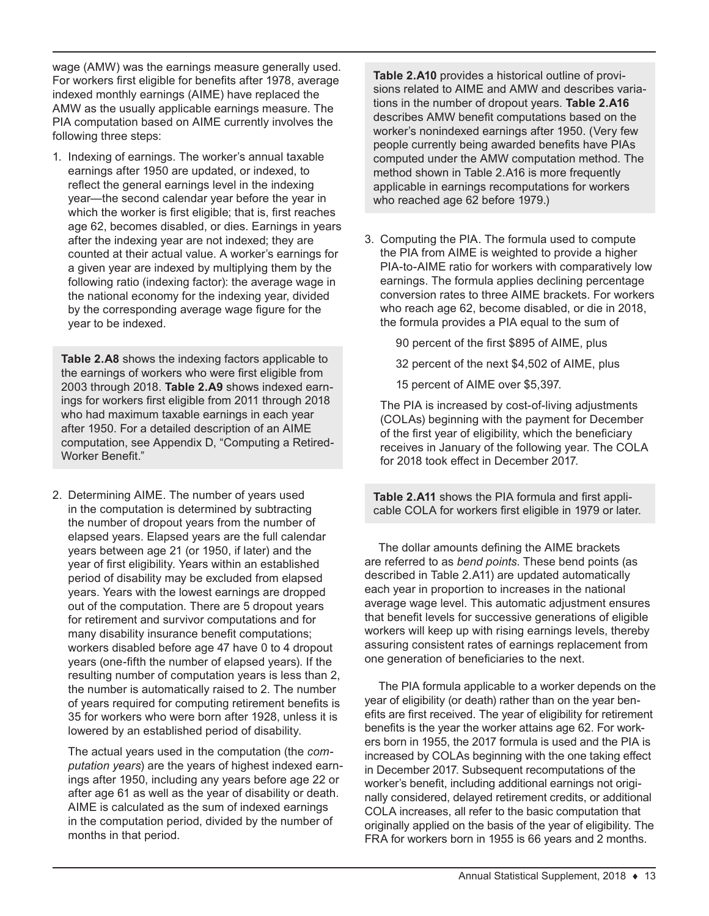wage (AMW) was the earnings measure generally used. For workers first eligible for benefits after 1978, average indexed monthly earnings (AIME) have replaced the AMW as the usually applicable earnings measure. The PIA computation based on AIME currently involves the following three steps:

1. Indexing of earnings. The worker's annual taxable earnings after 1950 are updated, or indexed, to reflect the general earnings level in the indexing year—the second calendar year before the year in which the worker is first eligible; that is, first reaches age 62, becomes disabled, or dies. Earnings in years after the indexing year are not indexed; they are counted at their actual value. A worker's earnings for a given year are indexed by multiplying them by the following ratio (indexing factor): the average wage in the national economy for the indexing year, divided by the corresponding average wage figure for the year to be indexed.

**Table 2.A8** shows the indexing factors applicable to the earnings of workers who were first eligible from 2003 through 2018. **Table 2.A9** shows indexed earnings for workers first eligible from 2011 through 2018 who had maximum taxable earnings in each year after 1950. For a detailed description of an AIME computation, see Appendix D, "Computing a Retired-Worker Benefit."

2. Determining AIME. The number of years used in the computation is determined by subtracting the number of dropout years from the number of elapsed years. Elapsed years are the full calendar years between age 21 (or 1950, if later) and the year of first eligibility. Years within an established period of disability may be excluded from elapsed years. Years with the lowest earnings are dropped out of the computation. There are 5 dropout years for retirement and survivor computations and for many disability insurance benefit computations; workers disabled before age 47 have 0 to 4 dropout years (one-fifth the number of elapsed years). If the resulting number of computation years is less than 2, the number is automatically raised to 2. The number of years required for computing retirement benefits is 35 for workers who were born after 1928, unless it is lowered by an established period of disability.

The actual years used in the computation (the *computation years*) are the years of highest indexed earnings after 1950, including any years before age 22 or after age 61 as well as the year of disability or death. AIME is calculated as the sum of indexed earnings in the computation period, divided by the number of months in that period.

**Table 2.A10** provides a historical outline of provisions related to AIME and AMW and describes variations in the number of dropout years. **Table 2.A16** describes AMW benefit computations based on the worker's nonindexed earnings after 1950. (Very few people currently being awarded benefits have PIAs computed under the AMW computation method. The method shown in Table 2.A16 is more frequently applicable in earnings recomputations for workers who reached age 62 before 1979.)

- 3. Computing the PIA. The formula used to compute the PIA from AIME is weighted to provide a higher PIA-to-AIME ratio for workers with comparatively low earnings. The formula applies declining percentage conversion rates to three AIME brackets. For workers who reach age 62, become disabled, or die in 2018. the formula provides a PIA equal to the sum of
	- 90 percent of the first \$895 of AIME, plus
	- 32 percent of the next \$4,502 of AIME, plus
	- 15 percent of AIME over \$5,397.

The PIA is increased by cost-of-living adjustments (COLAs) beginning with the payment for December of the first year of eligibility, which the beneficiary receives in January of the following year. The COLA for 2018 took effect in December 2017.

**Table 2.A11** shows the PIA formula and first applicable COLA for workers first eligible in 1979 or later.

The dollar amounts defining the AIME brackets are referred to as *bend points*. These bend points (as described in Table 2.A11) are updated automatically each year in proportion to increases in the national average wage level. This automatic adjustment ensures that benefit levels for successive generations of eligible workers will keep up with rising earnings levels, thereby assuring consistent rates of earnings replacement from one generation of beneficiaries to the next.

The PIA formula applicable to a worker depends on the year of eligibility (or death) rather than on the year benefits are first received. The year of eligibility for retirement benefits is the year the worker attains age 62. For workers born in 1955, the 2017 formula is used and the PIA is increased by COLAs beginning with the one taking effect in December 2017. Subsequent recomputations of the worker's benefit, including additional earnings not originally considered, delayed retirement credits, or additional COLA increases, all refer to the basic computation that originally applied on the basis of the year of eligibility. The FRA for workers born in 1955 is 66 years and 2 months.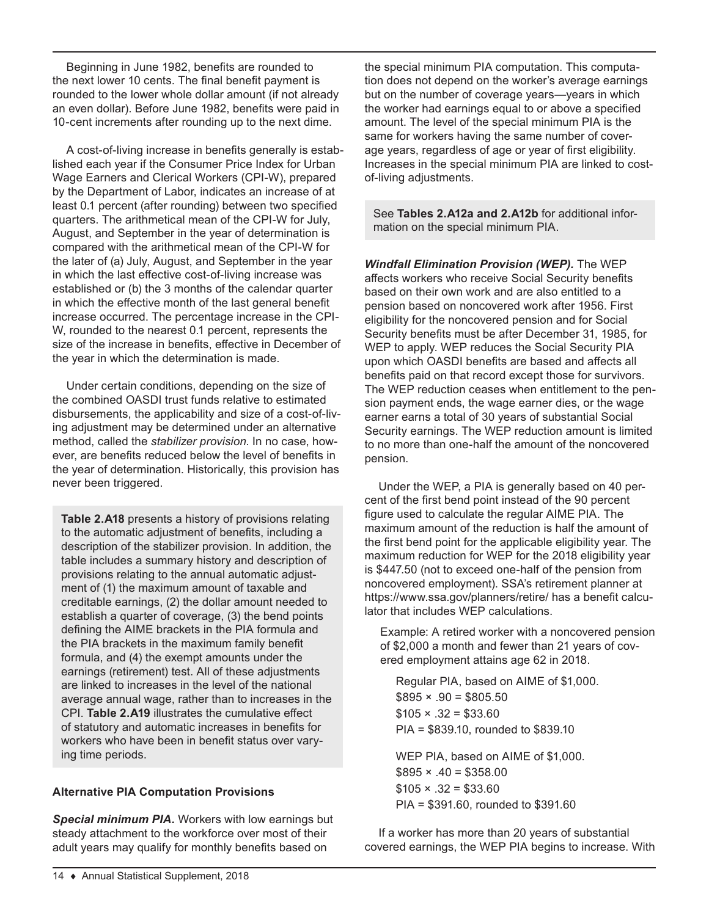Beginning in June 1982, benefits are rounded to the next lower 10 cents. The final benefit payment is rounded to the lower whole dollar amount (if not already an even dollar). Before June 1982, benefits were paid in 10-cent increments after rounding up to the next dime.

A cost-of-living increase in benefits generally is established each year if the Consumer Price Index for Urban Wage Earners and Clerical Workers (CPI-W), prepared by the Department of Labor, indicates an increase of at least 0.1 percent (after rounding) between two specified quarters. The arithmetical mean of the CPI-W for July, August, and September in the year of determination is compared with the arithmetical mean of the CPI-W for the later of (a) July, August, and September in the year in which the last effective cost-of-living increase was established or (b) the 3 months of the calendar quarter in which the effective month of the last general benefit increase occurred. The percentage increase in the CPI-W, rounded to the nearest 0.1 percent, represents the size of the increase in benefits, effective in December of the year in which the determination is made.

Under certain conditions, depending on the size of the combined OASDI trust funds relative to estimated disbursements, the applicability and size of a cost-of-living adjustment may be determined under an alternative method, called the *stabilizer provision*. In no case, however, are benefits reduced below the level of benefits in the year of determination. Historically, this provision has never been triggered.

**Table 2.A18** presents a history of provisions relating to the automatic adjustment of benefits, including a description of the stabilizer provision. In addition, the table includes a summary history and description of provisions relating to the annual automatic adjustment of (1) the maximum amount of taxable and creditable earnings, (2) the dollar amount needed to establish a quarter of coverage, (3) the bend points defining the AIME brackets in the PIA formula and the PIA brackets in the maximum family benefit formula, and (4) the exempt amounts under the earnings (retirement) test. All of these adjustments are linked to increases in the level of the national average annual wage, rather than to increases in the CPI. **Table 2.A19** illustrates the cumulative effect of statutory and automatic increases in benefits for workers who have been in benefit status over varying time periods.

#### **Alternative PIA Computation Provisions**

*Special minimum PIA.* Workers with low earnings but steady attachment to the workforce over most of their adult years may qualify for monthly benefits based on

the special minimum PIA computation. This computation does not depend on the worker's average earnings but on the number of coverage years—years in which the worker had earnings equal to or above a specified amount. The level of the special minimum PIA is the same for workers having the same number of coverage years, regardless of age or year of first eligibility. Increases in the special minimum PIA are linked to costof-living adjustments.

See **Tables 2.A12a and 2.A12b** for additional information on the special minimum PIA.

*Windfall Elimination Provision (WEP).* The WEP affects workers who receive Social Security benefits based on their own work and are also entitled to a pension based on noncovered work after 1956. First eligibility for the noncovered pension and for Social Security benefits must be after December 31, 1985, for WEP to apply. WEP reduces the Social Security PIA upon which OASDI benefits are based and affects all benefits paid on that record except those for survivors. The WEP reduction ceases when entitlement to the pension payment ends, the wage earner dies, or the wage earner earns a total of 30 years of substantial Social Security earnings. The WEP reduction amount is limited to no more than one-half the amount of the noncovered pension.

Under the WEP, a PIA is generally based on 40 percent of the first bend point instead of the 90 percent figure used to calculate the regular AIME PIA. The maximum amount of the reduction is half the amount of the first bend point for the applicable eligibility year. The maximum reduction for WEP for the 2018 eligibility year is \$447.50 (not to exceed one-half of the pension from noncovered employment). SSA's retirement planner at <https://www.ssa.gov/planners/retire/>has a benefit calculator that includes WEP calculations.

Example: A retired worker with a noncovered pension of \$2,000 a month and fewer than 21 years of covered employment attains age 62 in 2018.

Regular PIA, based on AIME of \$1,000.  $$895 \times .90 = $805.50$  $$105 \times .32 = $33.60$ PIA = \$839.10, rounded to \$839.10 WEP PIA, based on AIME of \$1,000.  $$895 \times .40 = $358.00$  $$105 \times .32 = $33.60$ 

PIA = \$391.60, rounded to \$391.60

If a worker has more than 20 years of substantial covered earnings, the WEP PIA begins to increase. With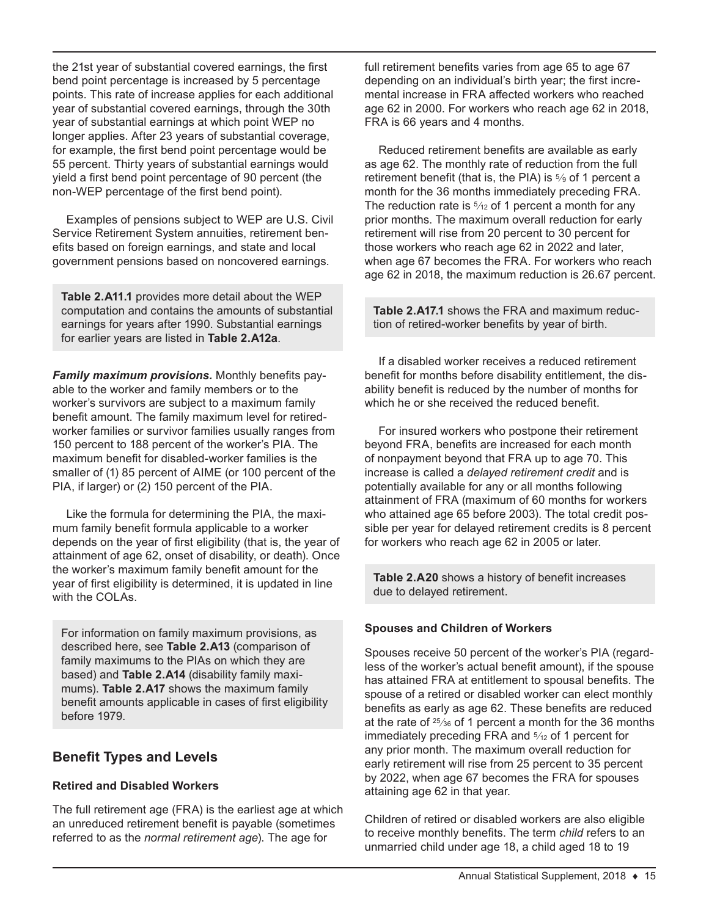the 21st year of substantial covered earnings, the first bend point percentage is increased by 5 percentage points. This rate of increase applies for each additional year of substantial covered earnings, through the 30th year of substantial earnings at which point WEP no longer applies. After 23 years of substantial coverage, for example, the first bend point percentage would be 55 percent. Thirty years of substantial earnings would yield a first bend point percentage of 90 percent (the non-WEP percentage of the first bend point).

Examples of pensions subject to WEP are U.S. Civil Service Retirement System annuities, retirement benefits based on foreign earnings, and state and local government pensions based on noncovered earnings.

**Table 2.A11.1** provides more detail about the WEP computation and contains the amounts of substantial earnings for years after 1990. Substantial earnings for earlier years are listed in **Table 2.A12a**.

*Family maximum provisions.* Monthly benefits payable to the worker and family members or to the worker's survivors are subject to a maximum family benefit amount. The family maximum level for retiredworker families or survivor families usually ranges from 150 percent to 188 percent of the worker's PIA. The maximum benefit for disabled-worker families is the smaller of (1) 85 percent of AIME (or 100 percent of the PIA, if larger) or (2) 150 percent of the PIA.

Like the formula for determining the PIA, the maximum family benefit formula applicable to a worker depends on the year of first eligibility (that is, the year of attainment of age 62, onset of disability, or death). Once the worker's maximum family benefit amount for the year of first eligibility is determined, it is updated in line with the COLAs.

For information on family maximum provisions, as described here, see **Table 2.A13** (comparison of family maximums to the PIAs on which they are based) and **Table 2.A14** (disability family maximums). **Table 2.A17** shows the maximum family benefit amounts applicable in cases of first eligibility before 1979.

## **Benefit Types and Levels**

### **Retired and Disabled Workers**

The full retirement age (FRA) is the earliest age at which an unreduced retirement benefit is payable (sometimes referred to as the *normal retirement age*). The age for

full retirement benefits varies from age 65 to age 67 depending on an individual's birth year; the first incremental increase in FRA affected workers who reached age 62 in 2000. For workers who reach age 62 in 2018, FRA is 66 years and 4 months.

Reduced retirement benefits are available as early as age 62. The monthly rate of reduction from the full retirement benefit (that is, the PIA) is 5⁄9 of 1 percent a month for the 36 months immediately preceding FRA. The reduction rate is  $\frac{5}{12}$  of 1 percent a month for any prior months. The maximum overall reduction for early retirement will rise from 20 percent to 30 percent for those workers who reach age 62 in 2022 and later, when age 67 becomes the FRA. For workers who reach age 62 in 2018, the maximum reduction is 26.67 percent.

**Table 2.A17.1** shows the FRA and maximum reduction of retired-worker benefits by year of birth.

If a disabled worker receives a reduced retirement benefit for months before disability entitlement, the disability benefit is reduced by the number of months for which he or she received the reduced benefit.

For insured workers who postpone their retirement beyond FRA, benefits are increased for each month of nonpayment beyond that FRA up to age 70. This increase is called a *delayed retirement credit* and is potentially available for any or all months following attainment of FRA (maximum of 60 months for workers who attained age 65 before 2003). The total credit possible per year for delayed retirement credits is 8 percent for workers who reach age 62 in 2005 or later.

**Table 2.A20** shows a history of benefit increases due to delayed retirement.

#### **Spouses and Children of Workers**

Spouses receive 50 percent of the worker's PIA (regardless of the worker's actual benefit amount), if the spouse has attained FRA at entitlement to spousal benefits. The spouse of a retired or disabled worker can elect monthly benefits as early as age 62. These benefits are reduced at the rate of 25⁄36 of 1 percent a month for the 36 months immediately preceding FRA and  $\frac{5}{12}$  of 1 percent for any prior month. The maximum overall reduction for early retirement will rise from 25 percent to 35 percent by 2022, when age 67 becomes the FRA for spouses attaining age 62 in that year.

Children of retired or disabled workers are also eligible to receive monthly benefits. The term *child* refers to an unmarried child under age 18, a child aged 18 to 19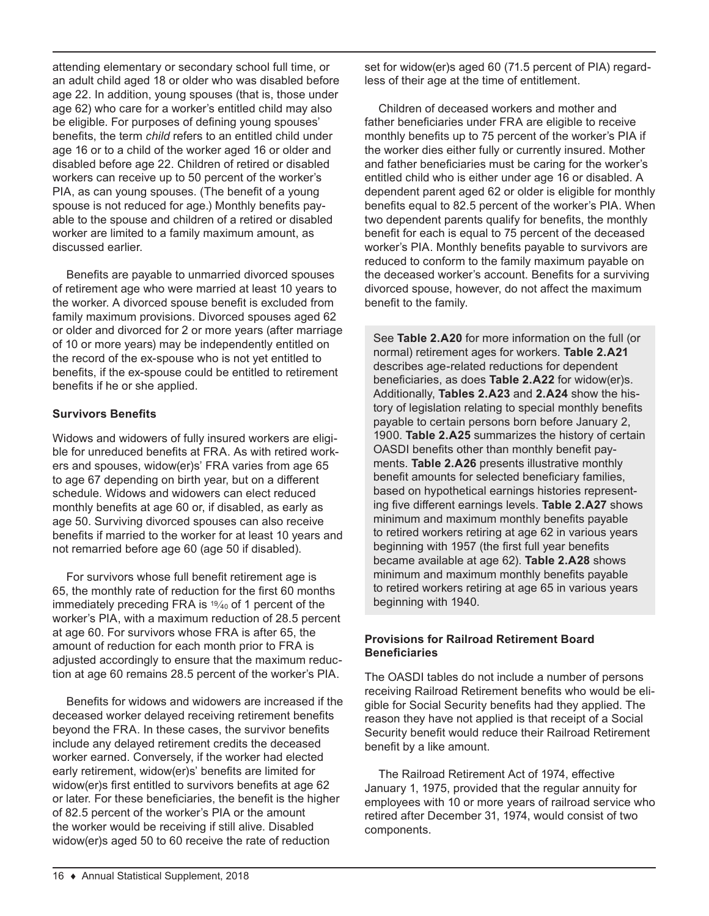attending elementary or secondary school full time, or an adult child aged 18 or older who was disabled before age 22. In addition, young spouses (that is, those under age 62) who care for a worker's entitled child may also be eligible. For purposes of defining young spouses' benefits, the term *child* refers to an entitled child under age 16 or to a child of the worker aged 16 or older and disabled before age 22. Children of retired or disabled workers can receive up to 50 percent of the worker's PIA, as can young spouses. (The benefit of a young spouse is not reduced for age.) Monthly benefits payable to the spouse and children of a retired or disabled worker are limited to a family maximum amount, as discussed earlier.

Benefits are payable to unmarried divorced spouses of retirement age who were married at least 10 years to the worker. A divorced spouse benefit is excluded from family maximum provisions. Divorced spouses aged 62 or older and divorced for 2 or more years (after marriage of 10 or more years) may be independently entitled on the record of the ex-spouse who is not yet entitled to benefits, if the ex-spouse could be entitled to retirement benefits if he or she applied.

#### **Survivors Benefits**

Widows and widowers of fully insured workers are eligible for unreduced benefits at FRA. As with retired workers and spouses, widow(er)s' FRA varies from age 65 to age 67 depending on birth year, but on a different schedule. Widows and widowers can elect reduced monthly benefits at age 60 or, if disabled, as early as age 50. Surviving divorced spouses can also receive benefits if married to the worker for at least 10 years and not remarried before age 60 (age 50 if disabled).

For survivors whose full benefit retirement age is 65, the monthly rate of reduction for the first 60 months immediately preceding FRA is 19⁄40 of 1 percent of the worker's PIA, with a maximum reduction of 28.5 percent at age 60. For survivors whose FRA is after 65, the amount of reduction for each month prior to FRA is adjusted accordingly to ensure that the maximum reduction at age 60 remains 28.5 percent of the worker's PIA.

Benefits for widows and widowers are increased if the deceased worker delayed receiving retirement benefits beyond the FRA. In these cases, the survivor benefits include any delayed retirement credits the deceased worker earned. Conversely, if the worker had elected early retirement, widow(er)s' benefits are limited for widow(er)s first entitled to survivors benefits at age 62 or later. For these beneficiaries, the benefit is the higher of 82.5 percent of the worker's PIA or the amount the worker would be receiving if still alive. Disabled widow(er)s aged 50 to 60 receive the rate of reduction

set for widow(er)s aged 60 (71.5 percent of PIA) regardless of their age at the time of entitlement.

Children of deceased workers and mother and father beneficiaries under FRA are eligible to receive monthly benefits up to 75 percent of the worker's PIA if the worker dies either fully or currently insured. Mother and father beneficiaries must be caring for the worker's entitled child who is either under age 16 or disabled. A dependent parent aged 62 or older is eligible for monthly benefits equal to 82.5 percent of the worker's PIA. When two dependent parents qualify for benefits, the monthly benefit for each is equal to 75 percent of the deceased worker's PIA. Monthly benefits payable to survivors are reduced to conform to the family maximum payable on the deceased worker's account. Benefits for a surviving divorced spouse, however, do not affect the maximum benefit to the family.

See **Table 2.A20** for more information on the full (or normal) retirement ages for workers. **Table 2.A21** describes age-related reductions for dependent beneficiaries, as does **Table 2.A22** for widow(er)s. Additionally, **Tables 2.A23** and **2.A24** show the history of legislation relating to special monthly benefits payable to certain persons born before January 2, 1900. **Table 2.A25** summarizes the history of certain OASDI benefits other than monthly benefit payments. **Table 2.A26** presents illustrative monthly benefit amounts for selected beneficiary families, based on hypothetical earnings histories representing five different earnings levels. **Table 2.A27** shows minimum and maximum monthly benefits payable to retired workers retiring at age 62 in various years beginning with 1957 (the first full year benefits became available at age 62). **Table 2.A28** shows minimum and maximum monthly benefits payable to retired workers retiring at age 65 in various years beginning with 1940.

#### **Provisions for Railroad Retirement Board Beneficiaries**

The OASDI tables do not include a number of persons receiving Railroad Retirement benefits who would be eligible for Social Security benefits had they applied. The reason they have not applied is that receipt of a Social Security benefit would reduce their Railroad Retirement benefit by a like amount.

The Railroad Retirement Act of 1974, effective January 1, 1975, provided that the regular annuity for employees with 10 or more years of railroad service who retired after December 31, 1974, would consist of two components.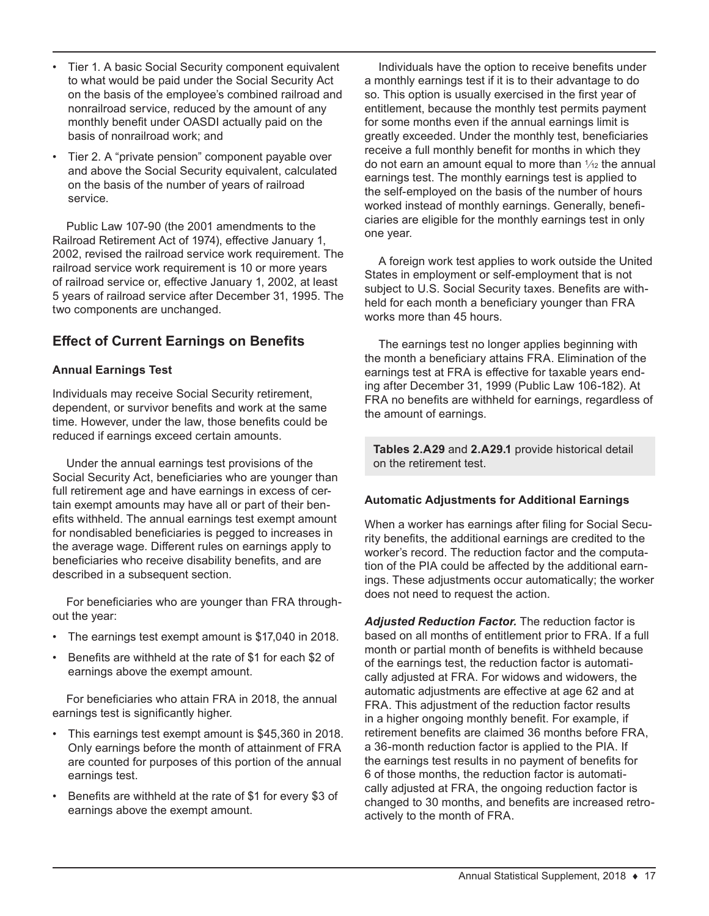- Tier 1. A basic Social Security component equivalent to what would be paid under the Social Security Act on the basis of the employee's combined railroad and nonrailroad service, reduced by the amount of any monthly benefit under OASDI actually paid on the basis of nonrailroad work; and
- Tier 2. A "private pension" component payable over and above the Social Security equivalent, calculated on the basis of the number of years of railroad service.

Public Law 107-90 (the 2001 amendments to the Railroad Retirement Act of 1974), effective January 1, 2002, revised the railroad service work requirement. The railroad service work requirement is 10 or more years of railroad service or, effective January 1, 2002, at least 5 years of railroad service after December 31, 1995. The two components are unchanged.

## **Effect of Current Earnings on Benefits**

#### **Annual Earnings Test**

Individuals may receive Social Security retirement, dependent, or survivor benefits and work at the same time. However, under the law, those benefits could be reduced if earnings exceed certain amounts.

Under the annual earnings test provisions of the Social Security Act, beneficiaries who are younger than full retirement age and have earnings in excess of certain exempt amounts may have all or part of their benefits withheld. The annual earnings test exempt amount for nondisabled beneficiaries is pegged to increases in the average wage. Different rules on earnings apply to beneficiaries who receive disability benefits, and are described in a subsequent section.

For beneficiaries who are younger than FRA throughout the year:

- The earnings test exempt amount is \$17,040 in 2018.
- Benefits are withheld at the rate of \$1 for each \$2 of earnings above the exempt amount.

For beneficiaries who attain FRA in 2018, the annual earnings test is significantly higher.

- This earnings test exempt amount is \$45,360 in 2018. Only earnings before the month of attainment of FRA are counted for purposes of this portion of the annual earnings test.
- Benefits are withheld at the rate of \$1 for every \$3 of earnings above the exempt amount.

Individuals have the option to receive benefits under a monthly earnings test if it is to their advantage to do so. This option is usually exercised in the first year of entitlement, because the monthly test permits payment for some months even if the annual earnings limit is greatly exceeded. Under the monthly test, beneficiaries receive a full monthly benefit for months in which they do not earn an amount equal to more than  $\frac{1}{12}$  the annual earnings test. The monthly earnings test is applied to the self-employed on the basis of the number of hours worked instead of monthly earnings. Generally, beneficiaries are eligible for the monthly earnings test in only one year.

A foreign work test applies to work outside the United States in employment or self-employment that is not subject to U.S. Social Security taxes. Benefits are withheld for each month a beneficiary younger than FRA works more than 45 hours.

The earnings test no longer applies beginning with the month a beneficiary attains FRA. Elimination of the earnings test at FRA is effective for taxable years ending after December 31, 1999 (Public Law 106-182). At FRA no benefits are withheld for earnings, regardless of the amount of earnings.

**Tables 2.A29** and **2.A29.1** provide historical detail on the retirement test.

#### **Automatic Adjustments for Additional Earnings**

When a worker has earnings after filing for Social Security benefits, the additional earnings are credited to the worker's record. The reduction factor and the computation of the PIA could be affected by the additional earnings. These adjustments occur automatically; the worker does not need to request the action.

*Adjusted Reduction Factor.* The reduction factor is based on all months of entitlement prior to FRA. If a full month or partial month of benefits is withheld because of the earnings test, the reduction factor is automatically adjusted at FRA. For widows and widowers, the automatic adjustments are effective at age 62 and at FRA. This adjustment of the reduction factor results in a higher ongoing monthly benefit. For example, if retirement benefits are claimed 36 months before FRA, a 36-month reduction factor is applied to the PIA. If the earnings test results in no payment of benefits for 6 of those months, the reduction factor is automatically adjusted at FRA, the ongoing reduction factor is changed to 30 months, and benefits are increased retroactively to the month of FRA.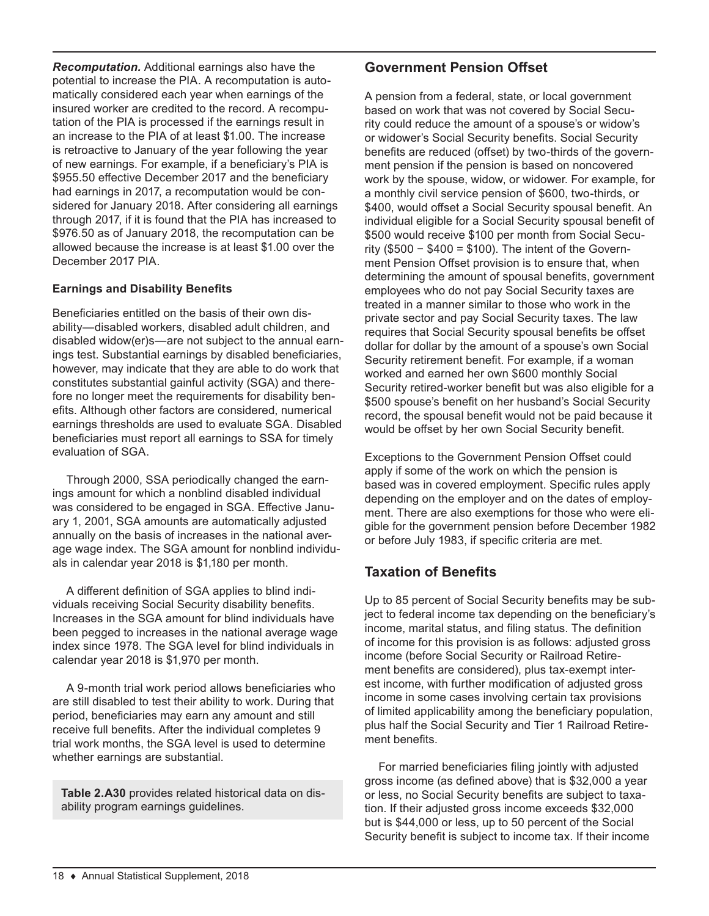*Recomputation.* Additional earnings also have the potential to increase the PIA. A recomputation is automatically considered each year when earnings of the insured worker are credited to the record. A recomputation of the PIA is processed if the earnings result in an increase to the PIA of at least \$1.00. The increase is retroactive to January of the year following the year of new earnings. For example, if a beneficiary's PIA is \$955.50 effective December 2017 and the beneficiary had earnings in 2017, a recomputation would be considered for January 2018. After considering all earnings through 2017, if it is found that the PIA has increased to \$976.50 as of January 2018, the recomputation can be allowed because the increase is at least \$1.00 over the December 2017 PIA.

#### **Earnings and Disability Benefits**

Beneficiaries entitled on the basis of their own disability—disabled workers, disabled adult children, and disabled widow(er)s—are not subject to the annual earnings test. Substantial earnings by disabled beneficiaries, however, may indicate that they are able to do work that constitutes substantial gainful activity (SGA) and therefore no longer meet the requirements for disability benefits. Although other factors are considered, numerical earnings thresholds are used to evaluate SGA. Disabled beneficiaries must report all earnings to SSA for timely evaluation of SGA.

Through 2000, SSA periodically changed the earnings amount for which a nonblind disabled individual was considered to be engaged in SGA. Effective January 1, 2001, SGA amounts are automatically adjusted annually on the basis of increases in the national average wage index. The SGA amount for nonblind individuals in calendar year 2018 is \$1,180 per month.

A different definition of SGA applies to blind individuals receiving Social Security disability benefits. Increases in the SGA amount for blind individuals have been pegged to increases in the national average wage index since 1978. The SGA level for blind individuals in calendar year 2018 is \$1,970 per month.

A 9-month trial work period allows beneficiaries who are still disabled to test their ability to work. During that period, beneficiaries may earn any amount and still receive full benefits. After the individual completes 9 trial work months, the SGA level is used to determine whether earnings are substantial.

**Table 2.A30** provides related historical data on disability program earnings guidelines.

### **Government Pension Offset**

A pension from a federal, state, or local government based on work that was not covered by Social Security could reduce the amount of a spouse's or widow's or widower's Social Security benefits. Social Security benefits are reduced (offset) by two-thirds of the government pension if the pension is based on noncovered work by the spouse, widow, or widower. For example, for a monthly civil service pension of \$600, two-thirds, or \$400, would offset a Social Security spousal benefit. An individual eligible for a Social Security spousal benefit of \$500 would receive \$100 per month from Social Security (\$500 − \$400 = \$100). The intent of the Government Pension Offset provision is to ensure that, when determining the amount of spousal benefits, government employees who do not pay Social Security taxes are treated in a manner similar to those who work in the private sector and pay Social Security taxes. The law requires that Social Security spousal benefits be offset dollar for dollar by the amount of a spouse's own Social Security retirement benefit. For example, if a woman worked and earned her own \$600 monthly Social Security retired-worker benefit but was also eligible for a \$500 spouse's benefit on her husband's Social Security record, the spousal benefit would not be paid because it would be offset by her own Social Security benefit.

Exceptions to the Government Pension Offset could apply if some of the work on which the pension is based was in covered employment. Specific rules apply depending on the employer and on the dates of employment. There are also exemptions for those who were eligible for the government pension before December 1982 or before July 1983, if specific criteria are met.

## **Taxation of Benefits**

Up to 85 percent of Social Security benefits may be subject to federal income tax depending on the beneficiary's income, marital status, and filing status. The definition of income for this provision is as follows: adjusted gross income (before Social Security or Railroad Retirement benefits are considered), plus tax-exempt interest income, with further modification of adjusted gross income in some cases involving certain tax provisions of limited applicability among the beneficiary population, plus half the Social Security and Tier 1 Railroad Retirement benefits.

For married beneficiaries filing jointly with adjusted gross income (as defined above) that is \$32,000 a year or less, no Social Security benefits are subject to taxation. If their adjusted gross income exceeds \$32,000 but is \$44,000 or less, up to 50 percent of the Social Security benefit is subject to income tax. If their income